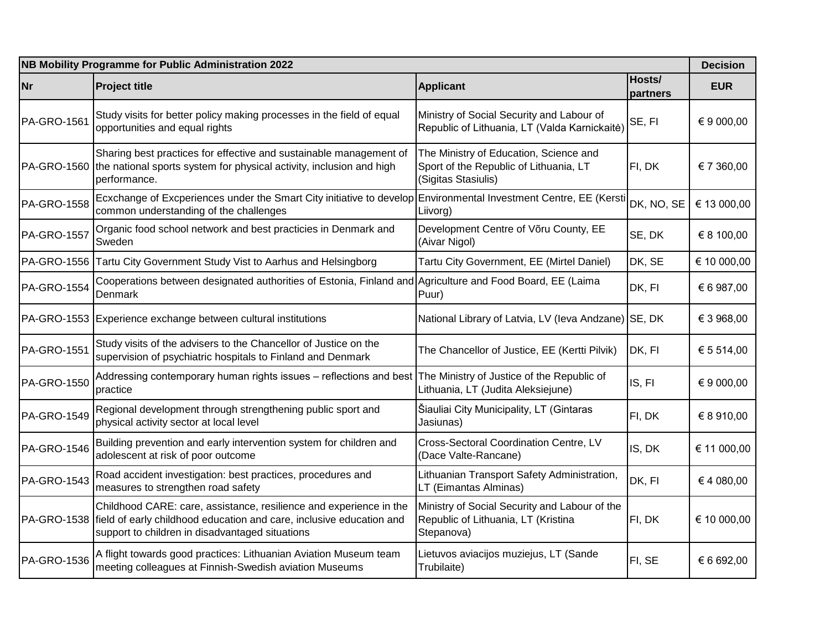| NB Mobility Programme for Public Administration 2022 |                                                                                                                                                                                               |                                                                                                         |                    |             |
|------------------------------------------------------|-----------------------------------------------------------------------------------------------------------------------------------------------------------------------------------------------|---------------------------------------------------------------------------------------------------------|--------------------|-------------|
| <b>Nr</b>                                            | <b>Project title</b>                                                                                                                                                                          | <b>Applicant</b>                                                                                        | Hosts/<br>partners | <b>EUR</b>  |
| PA-GRO-1561                                          | Study visits for better policy making processes in the field of equal<br>opportunities and equal rights                                                                                       | Ministry of Social Security and Labour of<br>Republic of Lithuania, LT (Valda Karnickaitė)              | SE, FI             | € 9 000,00  |
|                                                      | Sharing best practices for effective and sustainable management of<br>PA-GRO-1560 the national sports system for physical activity, inclusion and high<br>performance.                        | The Ministry of Education, Science and<br>Sport of the Republic of Lithuania, LT<br>(Sigitas Stasiulis) | FI, DK             | € 7 360,00  |
| PA-GRO-1558                                          | Ecxchange of Excperiences under the Smart City initiative to develop<br>common understanding of the challenges                                                                                | Environmental Investment Centre, EE (Kersti<br>Liivorg)                                                 | DK, NO, SE         | € 13 000,00 |
| PA-GRO-1557                                          | Organic food school network and best practicies in Denmark and<br>Sweden                                                                                                                      | Development Centre of Võru County, EE<br>(Aivar Nigol)                                                  | SE, DK             | € 8 100,00  |
|                                                      | PA-GRO-1556 Tartu City Government Study Vist to Aarhus and Helsingborg                                                                                                                        | Tartu City Government, EE (Mirtel Daniel)                                                               | DK, SE             | € 10 000,00 |
| PA-GRO-1554                                          | Cooperations between designated authorities of Estonia, Finland and Agriculture and Food Board, EE (Laima<br>Denmark                                                                          | Puur)                                                                                                   | DK, FI             | € 6 987,00  |
|                                                      | PA-GRO-1553 Experience exchange between cultural institutions                                                                                                                                 | National Library of Latvia, LV (leva Andzane)                                                           | SE, DK             | € 3 968,00  |
| PA-GRO-1551                                          | Study visits of the advisers to the Chancellor of Justice on the<br>supervision of psychiatric hospitals to Finland and Denmark                                                               | The Chancellor of Justice, EE (Kertti Pilvik)                                                           | DK, FI             | € 5 514,00  |
| PA-GRO-1550                                          | Addressing contemporary human rights issues - reflections and best<br>practice                                                                                                                | The Ministry of Justice of the Republic of<br>Lithuania, LT (Judita Aleksiejune)                        | IS, FI             | € 9 000,00  |
| PA-GRO-1549                                          | Regional development through strengthening public sport and<br>physical activity sector at local level                                                                                        | Šiauliai City Municipality, LT (Gintaras<br>Jasiunas)                                                   | FI, DK             | € 8 910,00  |
| <b>PA-GRO-1546</b>                                   | Building prevention and early intervention system for children and<br>adolescent at risk of poor outcome                                                                                      | Cross-Sectoral Coordination Centre, LV<br>(Dace Valte-Rancane)                                          | IS, DK             | € 11 000,00 |
| PA-GRO-1543                                          | Road accident investigation: best practices, procedures and<br>measures to strengthen road safety                                                                                             | Lithuanian Transport Safety Administration,<br>LT (Eimantas Alminas)                                    | DK, FI             | €4 080,00   |
| PA-GRO-1538                                          | Childhood CARE: care, assistance, resilience and experience in the<br>field of early childhood education and care, inclusive education and<br>support to children in disadvantaged situations | Ministry of Social Security and Labour of the<br>Republic of Lithuania, LT (Kristina<br>Stepanova)      | FI, DK             | € 10 000,00 |
| PA-GRO-1536                                          | A flight towards good practices: Lithuanian Aviation Museum team<br>meeting colleagues at Finnish-Swedish aviation Museums                                                                    | Lietuvos aviacijos muziejus, LT (Sande<br>Trubilaite)                                                   | FI, SE             | € 6 692,00  |